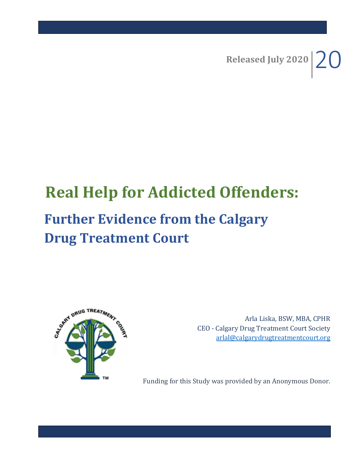Released July 2020  $20$ 

# **Real Help for Addicted Offenders: Further Evidence from the Calgary Drug Treatment Court**



Arla Liska, BSW, MBA, CPHR CEO - Calgary Drug Treatment Court Society [arlal@calgarydrugtreatmentcourt.org](mailto:arlal@calgarydrugtreatmentcourt.org)

Funding for this Study was provided by an Anonymous Donor.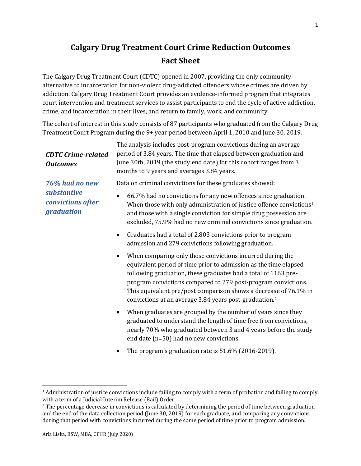# **Calgary Drug Treatment Court Crime Reduction Outcomes Fact Sheet**

The Calgary Drug Treatment Court (CDTC) opened in 2007, providing the only community alternative to incarceration for non-violent drug-addicted offenders whose crimes are driven by addiction. Calgary Drug Treatment Court provides an evidence-informed program that integrates court intervention and treatment services to assist participants to end the cycle of active addiction, crime, and incarceration in their lives, and return to family, work, and community.

The cohort of interest in this study consists of 87 participants who graduated from the Calgary Drug Treatment Court Program during the 9+ year period between April 1, 2010 and June 30, 2019.

| <b>CDTC Crime-related</b><br><b>Outcomes</b>                     | The analysis includes post-program convictions during an average<br>period of 3.84 years. The time that elapsed between graduation and<br>June 30th, 2019 (the study end date) for this cohort ranges from 3<br>months to 9 years and averages 3.84 years.                                                                                                                                                              |  |  |  |
|------------------------------------------------------------------|-------------------------------------------------------------------------------------------------------------------------------------------------------------------------------------------------------------------------------------------------------------------------------------------------------------------------------------------------------------------------------------------------------------------------|--|--|--|
| 76% had no new<br>substantive<br>convictions after<br>graduation | Data on criminal convictions for these graduates showed:                                                                                                                                                                                                                                                                                                                                                                |  |  |  |
|                                                                  | 66.7% had no convictions for any new offences since graduation.<br>$\bullet$<br>When those with only administration of justice offence convictions <sup>1</sup><br>and those with a single conviction for simple drug possession are<br>excluded, 75.9% had no new criminal convictions since graduation.                                                                                                               |  |  |  |
|                                                                  | Graduates had a total of 2,803 convictions prior to program<br>$\bullet$<br>admission and 279 convictions following graduation.                                                                                                                                                                                                                                                                                         |  |  |  |
|                                                                  | When comparing only those convictions incurred during the<br>$\bullet$<br>equivalent period of time prior to admission as the time elapsed<br>following graduation, these graduates had a total of 1163 pre-<br>program convictions compared to 279 post-program convictions.<br>This equivalent pre/post comparison shows a decrease of 76.1% in<br>convictions at an average 3.84 years post-graduation. <sup>2</sup> |  |  |  |
|                                                                  | When graduates are grouped by the number of years since they<br>$\bullet$<br>graduated to understand the length of time free from convictions,<br>nearly 70% who graduated between 3 and 4 years before the study<br>end date (n=50) had no new convictions.                                                                                                                                                            |  |  |  |
|                                                                  | The program's graduation rate is 51.6% (2016-2019).                                                                                                                                                                                                                                                                                                                                                                     |  |  |  |

<sup>&</sup>lt;sup>1</sup> Administration of justice convictions include failing to comply with a term of probation and failing to comply with a term of a Judicial Interim Release (Bail) Order.

<sup>&</sup>lt;sup>2</sup> The percentage decrease in convictions is calculated by determining the period of time between graduation and the end of the data collection period (June 30, 2019) for each graduate, and comparing any convictions during that period with convictions incurred during the same period of time prior to program admission.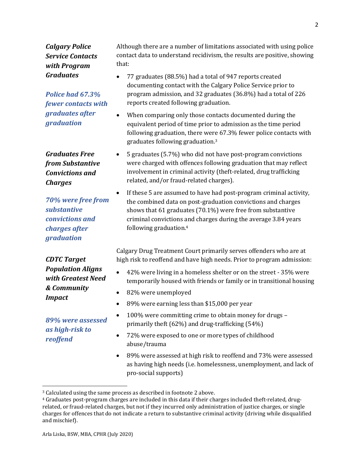### *Calgary Police Service Contacts with Program Graduates*

*Police had 67.3% fewer contacts with graduates after graduation*

*Graduates Free from Substantive Convictions and Charges*

*70% were free from substantive convictions and charges after graduation*

*CDTC Target Population Aligns with Greatest Need & Community Impact*

*89% were assessed as high-risk to reoffend*

Although there are a number of limitations associated with using police contact data to understand recidivism, the results are positive, showing that:

- 77 graduates (88.5%) had a total of 947 reports created documenting contact with the Calgary Police Service prior to program admission, and 32 graduates (36.8%) had a total of 226 reports created following graduation.
- When comparing only those contacts documented during the equivalent period of time prior to admission as the time period following graduation, there were 67.3% fewer police contacts with graduates following graduation.<sup>3</sup>
- 5 graduates (5.7%) who did not have post-program convictions were charged with offences following graduation that may reflect involvement in criminal activity (theft-related, drug trafficking related, and/or fraud-related charges).
- If these 5 are assumed to have had post-program criminal activity, the combined data on post-graduation convictions and charges shows that 61 graduates (70.1%) were free from substantive criminal convictions and charges during the average 3.84 years following graduation.<sup>4</sup>

Calgary Drug Treatment Court primarily serves offenders who are at high risk to reoffend and have high needs. Prior to program admission:

- 42% were living in a homeless shelter or on the street 35% were temporarily housed with friends or family or in transitional housing
- 82% were unemployed
- 89% were earning less than \$15,000 per year
- 100% were committing crime to obtain money for drugs primarily theft (62%) and drug-trafficking (54%)
- 72% were exposed to one or more types of childhood abuse/trauma
- 89% were assessed at high risk to reoffend and 73% were assessed as having high needs (i.e. homelessness, unemployment, and lack of pro-social supports)

<sup>&</sup>lt;sup>3</sup> Calculated using the same process as described in footnote 2 above.

<sup>4</sup> Graduates post-program charges are included in this data if their charges included theft-related, drugrelated, or fraud-related charges, but not if they incurred only administration of justice charges, or single charges for offences that do not indicate a return to substantive criminal activity (driving while disqualified and mischief).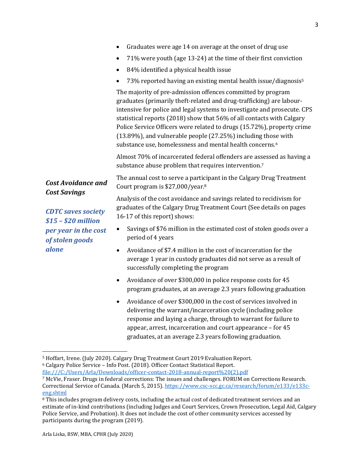|                                                                                                                                    | Graduates were age 14 on average at the onset of drug use                                                                                                                                                                                                                                                                                                                                                                                                                                                   |  |  |  |
|------------------------------------------------------------------------------------------------------------------------------------|-------------------------------------------------------------------------------------------------------------------------------------------------------------------------------------------------------------------------------------------------------------------------------------------------------------------------------------------------------------------------------------------------------------------------------------------------------------------------------------------------------------|--|--|--|
|                                                                                                                                    | 71% were youth (age 13-24) at the time of their first conviction<br>$\bullet$                                                                                                                                                                                                                                                                                                                                                                                                                               |  |  |  |
|                                                                                                                                    | 84% identified a physical health issue<br>$\bullet$                                                                                                                                                                                                                                                                                                                                                                                                                                                         |  |  |  |
|                                                                                                                                    | 73% reported having an existing mental health issue/diagnosis <sup>5</sup>                                                                                                                                                                                                                                                                                                                                                                                                                                  |  |  |  |
|                                                                                                                                    | The majority of pre-admission offences committed by program<br>graduates (primarily theft-related and drug-trafficking) are labour-<br>intensive for police and legal systems to investigate and prosecute. CPS<br>statistical reports (2018) show that 56% of all contacts with Calgary<br>Police Service Officers were related to drugs (15.72%), property crime<br>(13.89%), and vulnerable people (27.25%) including those with<br>substance use, homelessness and mental health concerns. <sup>6</sup> |  |  |  |
|                                                                                                                                    | Almost 70% of incarcerated federal offenders are assessed as having a<br>substance abuse problem that requires intervention.7                                                                                                                                                                                                                                                                                                                                                                               |  |  |  |
| <b>Cost Avoidance and</b>                                                                                                          | The annual cost to serve a participant in the Calgary Drug Treatment<br>Court program is \$27,000/year. <sup>8</sup>                                                                                                                                                                                                                                                                                                                                                                                        |  |  |  |
| <b>Cost Savings</b><br><b>CDTC</b> saves society<br>$$15 - $20$ million<br>per year in the cost<br>of stolen goods<br><i>alone</i> | Analysis of the cost avoidance and savings related to recidivism for<br>graduates of the Calgary Drug Treatment Court (See details on pages<br>16-17 of this report) shows:                                                                                                                                                                                                                                                                                                                                 |  |  |  |
|                                                                                                                                    | Savings of \$76 million in the estimated cost of stolen goods over a<br>$\bullet$<br>period of 4 years                                                                                                                                                                                                                                                                                                                                                                                                      |  |  |  |
|                                                                                                                                    | Avoidance of \$7.4 million in the cost of incarceration for the<br>$\bullet$<br>average 1 year in custody graduates did not serve as a result of<br>successfully completing the program                                                                                                                                                                                                                                                                                                                     |  |  |  |
|                                                                                                                                    | Avoidance of over \$300,000 in police response costs for 45<br>$\bullet$<br>program graduates, at an average 2.3 years following graduation                                                                                                                                                                                                                                                                                                                                                                 |  |  |  |

• Avoidance of over \$300,000 in the cost of services involved in delivering the warrant/incarceration cycle (including police response and laying a charge, through to warrant for failure to appear, arrest, incarceration and court appearance – for 45 graduates, at an average 2.3 years following graduation.

[file:///C:/Users/Arla/Downloads/officer-contact-2018-annual-report%20\(2\).pdf](file:///C:/Users/Arla/Downloads/officer-contact-2018-annual-report%20(2).pdf)

<sup>5</sup> Hoffart, Irene. (July 2020). Calgary Drug Treatment Court 2019 Evaluation Report.

<sup>6</sup> Calgary Police Service – Info Post. (2018). Officer Contact Statistical Report.

<sup>7</sup> McVie, Fraser. Drugs in federal corrections: The issues and challenges. FORUM on Corrections Research. Correctional Service of Canada. (March 5, 2015). [https://www.csc-scc.gc.ca/research/forum/e133/e133c](https://www.csc-scc.gc.ca/research/forum/e133/e133c-eng.shtml)[eng.shtml](https://www.csc-scc.gc.ca/research/forum/e133/e133c-eng.shtml)

<sup>8</sup> This includes program delivery costs, including the actual cost of dedicated treatment services and an estimate of in-kind contributions (including Judges and Court Services, Crown Prosecution, Legal Aid, Calgary Police Service, and Probation). It does not include the cost of other community services accessed by participants during the program (2019).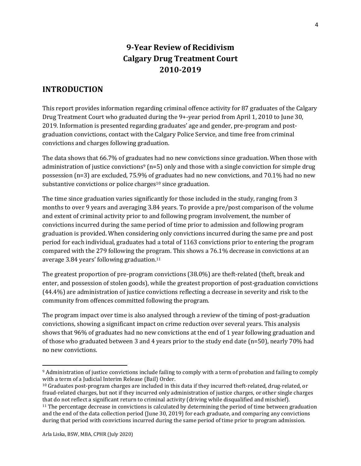# **9-Year Review of Recidivism Calgary Drug Treatment Court 2010-2019**

## **INTRODUCTION**

This report provides information regarding criminal offence activity for 87 graduates of the Calgary Drug Treatment Court who graduated during the 9+-year period from April 1, 2010 to June 30, 2019. Information is presented regarding graduates' age and gender, pre-program and postgraduation convictions, contact with the Calgary Police Service, and time free from criminal convictions and charges following graduation.

The data shows that 66.7% of graduates had no new convictions since graduation. When those with administration of justice convictions<sup>9</sup> ( $n=5$ ) only and those with a single conviction for simple drug possession (n=3) are excluded, 75.9% of graduates had no new convictions, and 70.1% had no new substantive convictions or police charges<sup>10</sup> since graduation.

The time since graduation varies significantly for those included in the study, ranging from 3 months to over 9 years and averaging 3.84 years. To provide a pre/post comparison of the volume and extent of criminal activity prior to and following program involvement, the number of convictions incurred during the same period of time prior to admission and following program graduation is provided. When considering only convictions incurred during the same pre and post period for each individual, graduates had a total of 1163 convictions prior to entering the program compared with the 279 following the program. This shows a 76.1% decrease in convictions at an average 3.84 years' following graduation.<sup>11</sup>

The greatest proportion of pre-program convictions (38.0%) are theft-related (theft, break and enter, and possession of stolen goods), while the greatest proportion of post-graduation convictions (44.4%) are administration of justice convictions reflecting a decrease in severity and risk to the community from offences committed following the program.

The program impact over time is also analysed through a review of the timing of post-graduation convictions, showing a significant impact on crime reduction over several years. This analysis shows that 96% of graduates had no new convictions at the end of 1 year following graduation and of those who graduated between 3 and 4 years prior to the study end date (n=50), nearly 70% had no new convictions.

<sup>9</sup> Administration of justice convictions include failing to comply with a term of probation and failing to comply with a term of a Judicial Interim Release (Bail) Order.

<sup>10</sup> Graduates post-program charges are included in this data if they incurred theft-related, drug-related, or fraud-related charges, but not if they incurred only administration of justice charges, or other single charges that do not reflect a significant return to criminal activity (driving while disqualified and mischief). <sup>11</sup> The percentage decrease in convictions is calculated by determining the period of time between graduation and the end of the data collection period (June 30, 2019) for each graduate, and comparing any convictions during that period with convictions incurred during the same period of time prior to program admission.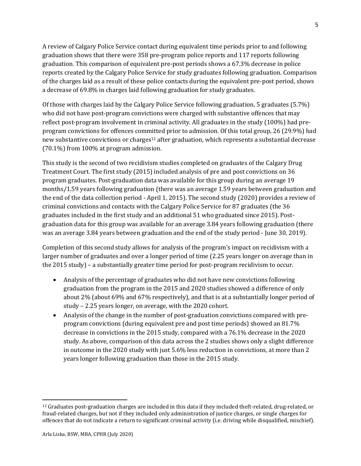A review of Calgary Police Service contact during equivalent time periods prior to and following graduation shows that there were 358 pre-program police reports and 117 reports following graduation. This comparison of equivalent pre-post periods shows a 67.3% decrease in police reports created by the Calgary Police Service for study graduates following graduation. Comparison of the charges laid as a result of these police contacts during the equivalent pre-post period, shows a decrease of 69.8% in charges laid following graduation for study graduates.

Of those with charges laid by the Calgary Police Service following graduation, 5 graduates (5.7%) who did not have post-program convictions were charged with substantive offences that may reflect post-program involvement in criminal activity. All graduates in the study (100%) had preprogram convictions for offences committed prior to admission. Of this total group, 26 (29.9%) had new substantive convictions or charges<sup>12</sup> after graduation, which represents a substantial decrease (70.1%) from 100% at program admission.

This study is the second of two recidivism studies completed on graduates of the Calgary Drug Treatment Court. The first study (2015) included analysis of pre and post convictions on 36 program graduates. Post-graduation data was available for this group during an average 19 months/1.59 years following graduation (there was an average 1.59 years between graduation and the end of the data collection period - April 1, 2015). The second study (2020) provides a review of criminal convictions and contacts with the Calgary Police Service for 87 graduates (the 36 graduates included in the first study and an additional 51 who graduated since 2015). Postgraduation data for this group was available for an average 3.84 years following graduation (there was an average 3.84 years between graduation and the end of the study period - June 30, 2019).

Completion of this second study allows for analysis of the program's impact on recidivism with a larger number of graduates and over a longer period of time (2.25 years longer on average than in the 2015 study) – a substantially greater time period for post-program recidivism to occur.

- Analysis of the percentage of graduates who did not have new convictions following graduation from the program in the 2015 and 2020 studies showed a difference of only about 2% (about 69% and 67% respectively), and that is at a substantially longer period of study – 2.25 years longer, on average, with the 2020 cohort.
- Analysis of the change in the number of post-graduation convictions compared with preprogram convictions (during equivalent pre and post time periods) showed an 81.7% decrease in convictions in the 2015 study, compared with a 76.1% decrease in the 2020 study. As above, comparison of this data across the 2 studies shows only a slight difference in outcome in the 2020 study with just 5.6% less reduction in convictions, at more than 2 years longer following graduation than those in the 2015 study.

 $12$  Graduates post-graduation charges are included in this data if they included theft-related, drug-related, or fraud-related charges, but not if they included only administration of justice charges, or single charges for offences that do not indicate a return to significant criminal activity (i.e. driving while disqualified, mischief).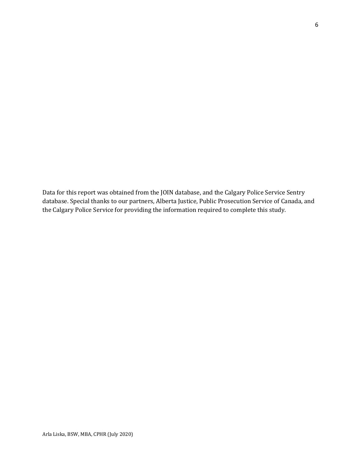Data for this report was obtained from the JOIN database, and the Calgary Police Service Sentry database. Special thanks to our partners, Alberta Justice, Public Prosecution Service of Canada, and the Calgary Police Service for providing the information required to complete this study.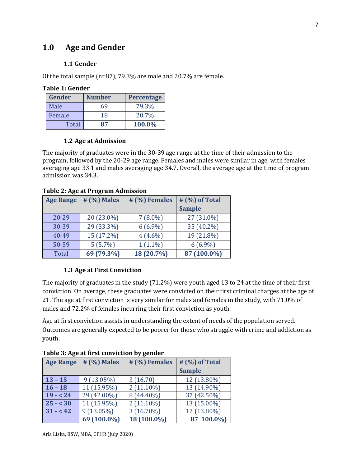## **1.0 Age and Gender**

#### **1.1 Gender**

**Table 1: Gender**

Of the total sample (n=87), 79.3% are male and 20.7% are female.

| .             |               |                   |  |
|---------------|---------------|-------------------|--|
| <b>Gender</b> | <b>Number</b> | <b>Percentage</b> |  |
| Male          | 69            | 79.3%             |  |
| Female        | 18            | 20.7%             |  |
| Total         | 87            | 100.0%            |  |

#### **1.2 Age at Admission**

The majority of graduates were in the 30-39 age range at the time of their admission to the program, followed by the 20-29 age range. Females and males were similar in age, with females averaging age 33.1 and males averaging age 34.7. Overall, the average age at the time of program admission was 34.3.

#### **Table 2: Age at Program Admission**

| <b>Age Range</b> | # (%) Males | # (%) Females | # (%) of Total |
|------------------|-------------|---------------|----------------|
|                  |             |               | <b>Sample</b>  |
| $20 - 29$        | 20 (23.0%)  | $7(8.0\%)$    | 27 (31.0%)     |
| 30-39            | 29 (33.3%)  | $6(6.9\%)$    | 35 (40.2%)     |
| $40 - 49$        | 15 (17.2%)  | $4(4.6\%)$    | 19 (21.8%)     |
| 50-59            | $5(5.7\%)$  | $1(1.1\%)$    | $6(6.9\%)$     |
| <b>Total</b>     | 69 (79.3%)  | 18 (20.7%)    | 87 (100.0%)    |

#### **1.3 Age at First Conviction**

The majority of graduates in the study (71.2%) were youth aged 13 to 24 at the time of their first conviction. On average, these graduates were convicted on their first criminal charges at the age of 21. The age at first conviction is very similar for males and females in the study, with 71.0% of males and 72.2% of females incurring their first conviction as youth.

Age at first conviction assists in understanding the extent of needs of the population served. Outcomes are generally expected to be poorer for those who struggle with crime and addiction as youth.

| <b>Age Range</b> | # (%) Males  | # (%) Females | # (%) of Total |
|------------------|--------------|---------------|----------------|
|                  |              |               | <b>Sample</b>  |
| $13 - 15$        | $9(13.05\%)$ | 3(16.70)      | 12 (13.80%)    |
| $16 - 18$        | 11 (15.95%)  | $2(11.10\%)$  | 13 (14.90%)    |
| $19 - 24$        | 29 (42.00%)  | 8 (44.40%)    | 37 (42.50%)    |
| $25 - 30$        | 11 (15.95%)  | $2(11.10\%)$  | 13 (15.00%)    |
| $31 - 42$        | $9(13.05\%)$ | $3(16.70\%)$  | 12 (13.80%)    |
|                  | 69 (100.0%)  | 18 (100.0%)   | 87 100.0%)     |

#### **Table 3: Age at first conviction by gender**

Arla Liska, BSW, MBA, CPHR (July 2020)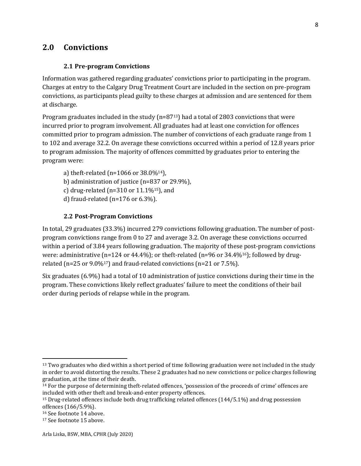## **2.0 Convictions**

#### **2.1 Pre-program Convictions**

Information was gathered regarding graduates' convictions prior to participating in the program. Charges at entry to the Calgary Drug Treatment Court are included in the section on pre-program convictions, as participants plead guilty to these charges at admission and are sentenced for them at discharge.

Program graduates included in the study  $(n=8713)$  had a total of 2803 convictions that were incurred prior to program involvement. All graduates had at least one conviction for offences committed prior to program admission. The number of convictions of each graduate range from 1 to 102 and average 32.2. On average these convictions occurred within a period of 12.8 years prior to program admission. The majority of offences committed by graduates prior to entering the program were:

- a) theft-related (n=1066 or  $38.0\%^{14}$ ),
- b) administration of justice (n=837 or 29.9%),
- c) drug-related ( $n=310$  or  $11.1\%$ <sup>15</sup>), and
- d) fraud-related (n=176 or 6.3%).

#### **2.2 Post-Program Convictions**

In total, 29 graduates (33.3%) incurred 279 convictions following graduation. The number of postprogram convictions range from 0 to 27 and average 3.2. On average these convictions occurred within a period of 3.84 years following graduation. The majority of these post-program convictions were: administrative (n=124 or 44.4%); or theft-related (n=96 or 34.4%16); followed by drugrelated (n=25 or 9.0%17) and fraud-related convictions (n=21 or 7.5%).

Six graduates (6.9%) had a total of 10 administration of justice convictions during their time in the program. These convictions likely reflect graduates' failure to meet the conditions of their bail order during periods of relapse while in the program.

<sup>&</sup>lt;sup>13</sup> Two graduates who died within a short period of time following graduation were not included in the study in order to avoid distorting the results. These 2 graduates had no new convictions or police charges following graduation, at the time of their death.

<sup>14</sup> For the purpose of determining theft-related offences, 'possession of the proceeds of crime' offences are included with other theft and break-and-enter property offences.

<sup>15</sup> Drug-related offences include both drug trafficking related offences (144/5.1%) and drug possession offences (166/5.9%).

<sup>16</sup> See footnote 14 above.

<sup>17</sup> See footnote 15 above.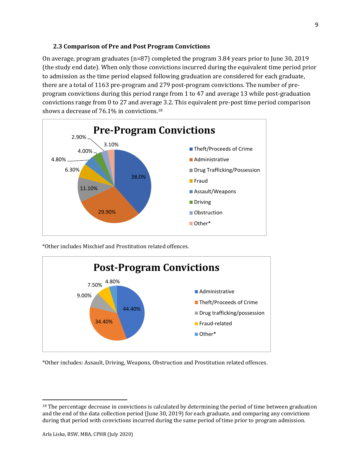#### **2.3 Comparison of Pre and Post Program Convictions**

On average, program graduates (n=87) completed the program 3.84 years prior to June 30, 2019 (the study end date). When only those convictions incurred during the equivalent time period prior to admission as the time period elapsed following graduation are considered for each graduate, there are a total of 1163 pre-program and 279 post-program convictions. The number of preprogram convictions during this period range from 1 to 47 and average 13 while post-graduation convictions range from 0 to 27 and average 3.2. This equivalent pre-post time period comparison shows a decrease of 76.1% in convictions.<sup>18</sup>



\*Other includes Mischief and Prostitution related offences.



\*Other includes: Assault, Driving, Weapons, Obstruction and Prostitution related offences.

<sup>&</sup>lt;sup>18</sup> The percentage decrease in convictions is calculated by determining the period of time between graduation and the end of the data collection period (June 30, 2019) for each graduate, and comparing any convictions during that period with convictions incurred during the same period of time prior to program admission.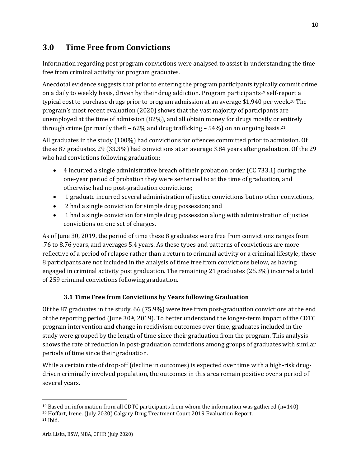## **3.0 Time Free from Convictions**

Information regarding post program convictions were analysed to assist in understanding the time free from criminal activity for program graduates.

Anecdotal evidence suggests that prior to entering the program participants typically commit crime on a daily to weekly basis, driven by their drug addiction. Program participants<sup>19</sup> self-report a typical cost to purchase drugs prior to program admission at an average \$1,940 per week.<sup>20</sup> The program's most recent evaluation (2020) shows that the vast majority of participants are unemployed at the time of admission (82%), and all obtain money for drugs mostly or entirely through crime (primarily theft – 62% and drug trafficking – 54%) on an ongoing basis.<sup>21</sup>

All graduates in the study (100%) had convictions for offences committed prior to admission. Of these 87 graduates, 29 (33.3%) had convictions at an average 3.84 years after graduation. Of the 29 who had convictions following graduation:

- 4 incurred a single administrative breach of their probation order (CC 733.1) during the one-year period of probation they were sentenced to at the time of graduation, and otherwise had no post-graduation convictions;
- 1 graduate incurred several administration of justice convictions but no other convictions,
- 2 had a single conviction for simple drug possession; and
- 1 had a single conviction for simple drug possession along with administration of justice convictions on one set of charges.

As of June 30, 2019, the period of time these 8 graduates were free from convictions ranges from .76 to 8.76 years, and averages 5.4 years. As these types and patterns of convictions are more reflective of a period of relapse rather than a return to criminal activity or a criminal lifestyle, these 8 participants are not included in the analysis of time free from convictions below, as having engaged in criminal activity post graduation. The remaining 21 graduates (25.3%) incurred a total of 259 criminal convictions following graduation.

#### **3.1 Time Free from Convictions by Years following Graduation**

Of the 87 graduates in the study, 66 (75.9%) were free from post-graduation convictions at the end of the reporting period (June  $30<sup>th</sup>$ , 2019). To better understand the longer-term impact of the CDTC program intervention and change in recidivism outcomes over time, graduates included in the study were grouped by the length of time since their graduation from the program. This analysis shows the rate of reduction in post-graduation convictions among groups of graduates with similar periods of time since their graduation.

While a certain rate of drop-off (decline in outcomes) is expected over time with a high-risk drugdriven criminally involved population, the outcomes in this area remain positive over a period of several years.

<sup>&</sup>lt;sup>19</sup> Based on information from all CDTC participants from whom the information was gathered ( $n=140$ )

<sup>20</sup> Hoffart, Irene. (July 2020) Calgary Drug Treatment Court 2019 Evaluation Report.

<sup>21</sup> Ibid.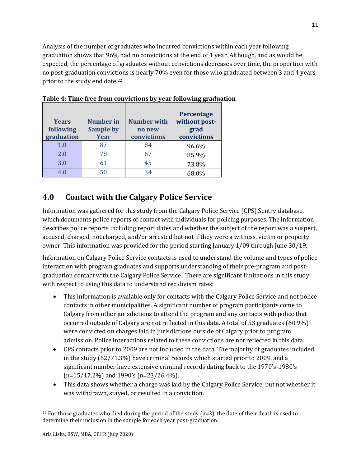Analysis of the number of graduates who incurred convictions within each year following graduation shows that 96% had no convictions at the end of 1 year. Although, and as would be expected, the percentage of graduates without convictions decreases over time, the proportion with no post-graduation convictions is nearly 70% even for those who graduated between 3 and 4 years prior to the study end date.<sup>22</sup>

| <b>Years</b><br>following<br>graduation | <b>Number in</b><br><b>Sample by</b><br><b>Year</b> | <b>Number with</b><br>no new<br>convictions | Percentage<br>without post-<br>grad<br>convictions |
|-----------------------------------------|-----------------------------------------------------|---------------------------------------------|----------------------------------------------------|
| 1.0                                     | 87                                                  | 84                                          | 96.6%                                              |
| 2.0                                     | 78                                                  | 67                                          | 85.9%                                              |
| 3.0                                     | 61                                                  | 45                                          | 73.8%                                              |
| 4 በ                                     | 50                                                  | 34                                          | 68.0%                                              |

**Table 4: Time free from convictions by year following graduation**

## **4.0 Contact with the Calgary Police Service**

Information was gathered for this study from the Calgary Police Service (CPS) Sentry database, which documents police reports of contact with individuals for policing purposes. The information describes police reports including report dates and whether the subject of the report was a suspect, accused, charged, not charged, and/or arrested but not if they were a witness, victim or property owner. This information was provided for the period starting January 1/09 through June 30/19.

Information on Calgary Police Service contacts is used to understand the volume and types of police interaction with program graduates and supports understanding of their pre-program and postgraduation contact with the Calgary Police Service. There are significant limitations in this study with respect to using this data to understand recidivism rates:

- This information is available only for contacts with the Calgary Police Service and not police contacts in other municipalities. A significant number of program participants come to Calgary from other jurisdictions to attend the program and any contacts with police that occurred outside of Calgary are not reflected in this data. A total of 53 graduates (60.9%) were convicted on charges laid in jurisdictions outside of Calgary prior to program admission. Police interactions related to these convictions are not reflected in this data.
- CPS contacts prior to 2009 are not included in the data. The majority of graduates included in the study (62/71.3%) have criminal records which started prior to 2009, and a significant number have extensive criminal records dating back to the 1970's-1980's (n=15/17.2%) and 1990's (n=23/26.4%).
- This data shows whether a charge was laid by the Calgary Police Service, but not whether it was withdrawn, stayed, or resulted in a conviction.

<sup>&</sup>lt;sup>22</sup> For those graduates who died during the period of the study  $(n=3)$ , the date of their death is used to determine their inclusion in the sample for each year post-graduation.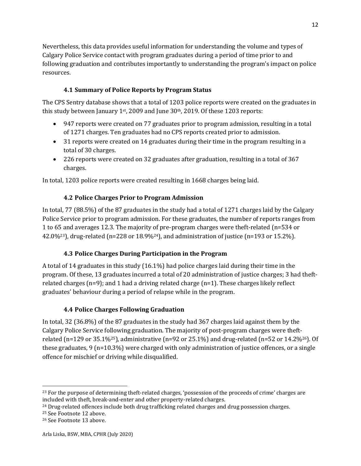Nevertheless, this data provides useful information for understanding the volume and types of Calgary Police Service contact with program graduates during a period of time prior to and following graduation and contributes importantly to understanding the program's impact on police resources.

#### **4.1 Summary of Police Reports by Program Status**

The CPS Sentry database shows that a total of 1203 police reports were created on the graduates in this study between January 1st, 2009 and June  $30<sup>th</sup>$ , 2019. Of these 1203 reports:

- 947 reports were created on 77 graduates prior to program admission, resulting in a total of 1271 charges. Ten graduates had no CPS reports created prior to admission.
- 31 reports were created on 14 graduates during their time in the program resulting in a total of 30 charges.
- 226 reports were created on 32 graduates after graduation, resulting in a total of 367 charges.

In total, 1203 police reports were created resulting in 1668 charges being laid.

#### **4.2 Police Charges Prior to Program Admission**

In total, 77 (88.5%) of the 87 graduates in the study had a total of 1271 charges laid by the Calgary Police Service prior to program admission. For these graduates, the number of reports ranges from 1 to 65 and averages 12.3. The majority of pre-program charges were theft-related (n=534 or 42.0%<sup>23</sup>), drug-related (n=228 or 18.9%<sup>24</sup>), and administration of justice (n=193 or 15.2%).

#### **4.3 Police Charges During Participation in the Program**

A total of 14 graduates in this study (16.1%) had police charges laid during their time in the program. Of these, 13 graduates incurred a total of 20 administration of justice charges; 3 had theftrelated charges (n=9); and 1 had a driving related charge (n=1). These charges likely reflect graduates' behaviour during a period of relapse while in the program.

#### **4.4 Police Charges Following Graduation**

In total, 32 (36.8%) of the 87 graduates in the study had 367 charges laid against them by the Calgary Police Service following graduation. The majority of post-program charges were theftrelated (n=129 or 35.1%25), administrative (n=92 or 25.1%) and drug-related (n=52 or 14.2%26). Of these graduates, 9 (n=10.3%) were charged with only administration of justice offences, or a single offence for mischief or driving while disqualified.

<sup>&</sup>lt;sup>23</sup> For the purpose of determining theft-related charges, 'possession of the proceeds of crime' charges are included with theft, break-and-enter and other property-related charges.

<sup>&</sup>lt;sup>24</sup> Drug-related offences include both drug trafficking related charges and drug possession charges.

<sup>25</sup> See Footnote 12 above.

<sup>26</sup> See Footnote 13 above.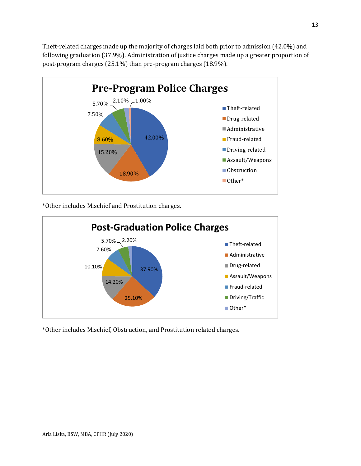Theft-related charges made up the majority of charges laid both prior to admission (42.0%) and following graduation (37.9%). Administration of justice charges made up a greater proportion of post-program charges (25.1%) than pre-program charges (18.9%).



\*Other includes Mischief and Prostitution charges.



\*Other includes Mischief, Obstruction, and Prostitution related charges.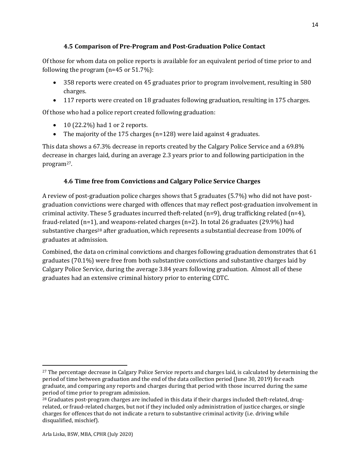#### **4.5 Comparison of Pre-Program and Post-Graduation Police Contact**

Of those for whom data on police reports is available for an equivalent period of time prior to and following the program (n=45 or 51.7%):

- 358 reports were created on 45 graduates prior to program involvement, resulting in 580 charges.
- 117 reports were created on 18 graduates following graduation, resulting in 175 charges.

Of those who had a police report created following graduation:

- $\bullet$  10 (22.2%) had 1 or 2 reports.
- The majority of the 175 charges (n=128) were laid against 4 graduates.

This data shows a 67.3% decrease in reports created by the Calgary Police Service and a 69.8% decrease in charges laid, during an average 2.3 years prior to and following participation in the program27.

#### **4.6 Time free from Convictions and Calgary Police Service Charges**

A review of post-graduation police charges shows that 5 graduates (5.7%) who did not have postgraduation convictions were charged with offences that may reflect post-graduation involvement in criminal activity. These 5 graduates incurred theft-related (n=9), drug trafficking related (n=4), fraud-related (n=1), and weapons-related charges (n=2). In total 26 graduates (29.9%) had substantive charges<sup>28</sup> after graduation, which represents a substantial decrease from 100% of graduates at admission.

Combined, the data on criminal convictions and charges following graduation demonstrates that 61 graduates (70.1%) were free from both substantive convictions and substantive charges laid by Calgary Police Service, during the average 3.84 years following graduation. Almost all of these graduates had an extensive criminal history prior to entering CDTC.

<sup>27</sup> The percentage decrease in Calgary Police Service reports and charges laid, is calculated by determining the period of time between graduation and the end of the data collection period (June 30, 2019) for each graduate, and comparing any reports and charges during that period with those incurred during the same period of time prior to program admission.

<sup>&</sup>lt;sup>28</sup> Graduates post-program charges are included in this data if their charges included theft-related, drugrelated, or fraud-related charges, but not if they included only administration of justice charges, or single charges for offences that do not indicate a return to substantive criminal activity (i.e. driving while disqualified, mischief).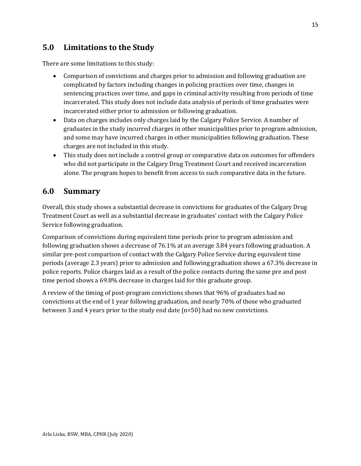## **5.0 Limitations to the Study**

There are some limitations to this study:

- Comparison of convictions and charges prior to admission and following graduation are complicated by factors including changes in policing practices over time, changes in sentencing practices over time, and gaps in criminal activity resulting from periods of time incarcerated. This study does not include data analysis of periods of time graduates were incarcerated either prior to admission or following graduation.
- Data on charges includes only charges laid by the Calgary Police Service. A number of graduates in the study incurred charges in other municipalities prior to program admission, and some may have incurred charges in other municipalities following graduation. These charges are not included in this study.
- This study does not include a control group or comparative data on outcomes for offenders who did not participate in the Calgary Drug Treatment Court and received incarceration alone. The program hopes to benefit from access to such comparative data in the future.

## **6.0 Summary**

Overall, this study shows a substantial decrease in convictions for graduates of the Calgary Drug Treatment Court as well as a substantial decrease in graduates' contact with the Calgary Police Service following graduation.

Comparison of convictions during equivalent time periods prior to program admission and following graduation shows a decrease of 76.1% at an average 3.84 years following graduation. A similar pre-post comparison of contact with the Calgary Police Service during equivalent time periods (average 2.3 years) prior to admission and following graduation shows a 67.3% decrease in police reports. Police charges laid as a result of the police contacts during the same pre and post time period shows a 69.8% decrease in charges laid for this graduate group.

A review of the timing of post-program convictions shows that 96% of graduates had no convictions at the end of 1 year following graduation, and nearly 70% of those who graduated between 3 and 4 years prior to the study end date (n=50) had no new convictions.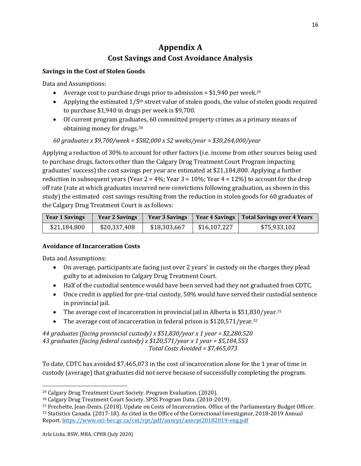# **Appendix A Cost Savings and Cost Avoidance Analysis**

#### **Savings in the Cost of Stolen Goods**

Data and Assumptions:

- Average cost to purchase drugs prior to admission =  $$1,940$  per week.<sup>29</sup>
- Applying the estimated  $1/5<sup>th</sup>$  street value of stolen goods, the value of stolen goods required to purchase \$1,940 in drugs per week is \$9,700.
- Of current program graduates, 60 committed property crimes as a primary means of obtaining money for drugs.<sup>30</sup>

*60 graduates x \$9,700/week = \$582,000 x 52 weeks/year = \$30,264,000/year*

Applying a reduction of 30% to account for other factors (i.e. income from other sources being used to purchase drugs, factors other than the Calgary Drug Treatment Court Program impacting graduates' success) the cost savings per year are estimated at \$21,184,800. Applying a further reduction in subsequent years (Year  $2 = 4\%$ ; Year  $3 = 10\%$ ; Year  $4 = 12\%$ ) to account for the drop off rate (rate at which graduates incurred new convictions following graduation, as shown in this study) the estimated cost savings resulting from the reduction in stolen goods for 60 graduates of the Calgary Drug Treatment Court is as follows:

| <b>Year 1 Savings</b> | <b>Year 2 Savings</b> | <b>Year 3 Savings</b> | <b>Year 4 Savings</b> | <b>Total Savings over 4 Years</b> |
|-----------------------|-----------------------|-----------------------|-----------------------|-----------------------------------|
| \$21,184,800          | \$20,337,408          | \$18,303,667          | \$16,107,227          | \$75,933,102                      |

#### **Avoidance of Incarceration Costs**

Data and Assumptions:

- On average, participants are facing just over 2 years' in custody on the charges they plead guilty to at admission to Calgary Drug Treatment Court.
- Half of the custodial sentence would have been served had they not graduated from CDTC.
- Once credit is applied for pre-trial custody, 50% would have served their custodial sentence in provincial jail.
- The average cost of incarceration in provincial jail in Alberta is  $$51,830/year<sup>31</sup>$
- The average cost of incarceration in federal prison is  $$120,571/year.<sup>32</sup>$

*44 graduates (facing provincial custody) x \$51,830/year x 1 year = \$2,280,520 43 graduates (facing federal custody) x \$120,571/year x 1 year = \$5,184,553 Total Costs Avoided = \$7,465,073* 

To date, CDTC has avoided \$7,465,073 in the cost of incarceration alone for the 1 year of time in custody (average) that graduates did not serve because of successfully completing the program.

<sup>29</sup> Calgary Drug Treatment Court Society. Program Evaluation. (2020).

<sup>30</sup> Calgary Drug Treatment Court Society. SPSS Program Data. (2010-2019).

<sup>31</sup> Frechette, Jean-Denis. (2018). Update on Costs of Incarceration. Office of the Parliamentary Budget Officer. <sup>32</sup> Statistics Canada. (2017-18). As cited in the Office of the Correctional Investigator, 2018-2019 Annual Report[. https://www.oci-bec.gc.ca/cnt/rpt/pdf/annrpt/annrpt20182019-eng.pdf](https://www.oci-bec.gc.ca/cnt/rpt/pdf/annrpt/annrpt20182019-eng.pdf)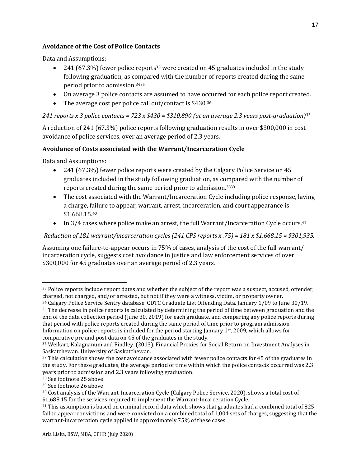#### **Avoidance of the Cost of Police Contacts**

Data and Assumptions:

- 241 (67.3%) fewer police reports<sup>33</sup> were created on 45 graduates included in the study following graduation, as compared with the number of reports created during the same period prior to admission.<sup>3435</sup>
- On average 3 police contacts are assumed to have occurred for each police report created.
- The average cost per police call out/contact is \$430.36

*241 reports x 3 police contacts = 723 x \$430 = \$310,890 (at an average 2.3 years post-graduation)<sup>37</sup>*

A reduction of 241 (67.3%) police reports following graduation results in over \$300,000 in cost avoidance of police services, over an average period of 2.3 years.

#### **Avoidance of Costs associated with the Warrant/Incarceration Cycle**

Data and Assumptions:

- 241 (67.3%) fewer police reports were created by the Calgary Police Service on 45 graduates included in the study following graduation, as compared with the number of reports created during the same period prior to admission.<sup>3839</sup>
- The cost associated with the Warrant/Incarceration Cycle including police response, laying a charge, failure to appear, warrant, arrest, incarceration, and court appearance is \$1,668.15.<sup>40</sup>
- In  $3/4$  cases where police make an arrest, the full Warrant/Incarceration Cycle occurs.<sup>41</sup>

*Reduction of 181 warrant/incarceration cycles (241 CPS reports x .75) = 181 x \$1,668.15 = \$301,935.* 

Assuming one failure-to-appear occurs in 75% of cases, analysis of the cost of the full warrant/ incarceration cycle, suggests cost avoidance in justice and law enforcement services of over \$300,000 for 45 graduates over an average period of 2.3 years.

<sup>&</sup>lt;sup>33</sup> Police reports include report dates and whether the subject of the report was a suspect, accused, offender, charged, not charged, and/or arrested, but not if they were a witness, victim, or property owner.

<sup>34</sup> Calgary Police Service Sentry database. CDTC Graduate List Offending Data. January 1/09 to June 30/19. <sup>35</sup> The decrease in police reports is calculated by determining the period of time between graduation and the end of the data collection period (June 30, 2019) for each graduate, and comparing any police reports during that period with police reports created during the same period of time prior to program admission. Information on police reports is included for the period starting January 1st, 2009, which allows for comparative pre and post data on 45 of the graduates in the study.

<sup>36</sup> Weikart, Kalagnanum and Findley. (2013). Financial Proxies for Social Return on Investment Analyses in Saskatchewan. University of Saskatchewan.

<sup>&</sup>lt;sup>37</sup> This calculation shows the cost avoidance associated with fewer police contacts for 45 of the graduates in the study. For these graduates, the average period of time within which the police contacts occurred was 2.3 years prior to admission and 2.3 years following graduation*.* 

<sup>38</sup> See footnote 25 above.

<sup>39</sup> See footnote 26 above.

<sup>40</sup> Cost analysis of the Warrant-Incarceration Cycle (Calgary Police Service, 2020), shows a total cost of \$1,688.15 for the services required to implement the Warrant-Incarceration Cycle.

<sup>41</sup> This assumption is based on criminal record data which shows that graduates had a combined total of 825 fail to appear convictions and were convicted on a combined total of 1,004 sets of charges, suggesting that the warrant-incarceration cycle applied in approximately 75% of these cases.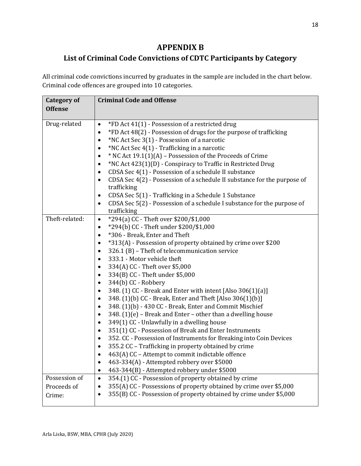## **APPENDIX B**

## **List of Criminal Code Convictions of CDTC Participants by Category**

All criminal code convictions incurred by graduates in the sample are included in the chart below. Criminal code offences are grouped into 10 categories.

| <b>Category of</b> | <b>Criminal Code and Offense</b>                                                                                                         |
|--------------------|------------------------------------------------------------------------------------------------------------------------------------------|
| <b>Offense</b>     |                                                                                                                                          |
| Drug-related       | *FD Act 41(1) - Possession of a restricted drug<br>$\bullet$                                                                             |
|                    | *FD Act 48(2) - Possession of drugs for the purpose of trafficking<br>$\bullet$                                                          |
|                    | *NC Act Sec 3(1) - Possession of a narcotic<br>$\bullet$                                                                                 |
|                    | *NC Act Sec 4(1) - Trafficking in a narcotic                                                                                             |
|                    | * NC Act 19.1(1)(A) – Possession of the Proceeds of Crime<br>$\bullet$                                                                   |
|                    | *NC Act 423(1)(D) - Conspiracy to Traffic in Restricted Drug<br>$\bullet$                                                                |
|                    | CDSA Sec 4(1) - Possession of a schedule II substance<br>٠                                                                               |
|                    | CDSA Sec 4(2) - Possession of a schedule II substance for the purpose of<br>$\bullet$                                                    |
|                    | trafficking                                                                                                                              |
|                    | CDSA Sec 5(1) - Trafficking in a Schedule 1 Substance<br>$\bullet$                                                                       |
|                    | CDSA Sec 5(2) - Possession of a schedule I substance for the purpose of<br>$\bullet$                                                     |
|                    | trafficking                                                                                                                              |
| Theft-related:     | *294(a) CC - Theft over \$200/\$1,000<br>$\bullet$                                                                                       |
|                    | *294(b) CC - Theft under \$200/\$1,000<br>$\bullet$                                                                                      |
|                    | *306 - Break, Enter and Theft<br>$\bullet$                                                                                               |
|                    | *313(A) - Possession of property obtained by crime over \$200<br>$\bullet$                                                               |
|                    | 326.1 (B) - Theft of telecommunication service<br>$\bullet$                                                                              |
|                    | 333.1 - Motor vehicle theft<br>$\bullet$                                                                                                 |
|                    | 334(A) CC - Theft over \$5,000<br>$\bullet$                                                                                              |
|                    | 334(B) CC - Theft under \$5,000<br>$\bullet$                                                                                             |
|                    | 344(b) CC - Robbery<br>$\bullet$                                                                                                         |
|                    | 348. (1) CC - Break and Enter with intent [Also 306(1)(a)]<br>$\bullet$                                                                  |
|                    | 348. (1)(b) CC - Break, Enter and Theft [Also 306(1)(b)]<br>٠                                                                            |
|                    | 348. (1)(b) - 430 CC - Break, Enter and Commit Mischief<br>$\bullet$                                                                     |
|                    | 348. $(1)(e)$ – Break and Enter – other than a dwelling house<br>$\bullet$                                                               |
|                    | 349(1) CC - Unlawfully in a dwelling house<br>$\bullet$                                                                                  |
|                    | 351(1) CC - Possession of Break and Enter Instruments<br>٠                                                                               |
|                    | 352. CC - Possession of Instruments for Breaking into Coin Devices<br>$\bullet$                                                          |
|                    | 355.2 CC - Trafficking in property obtained by crime<br>$\bullet$                                                                        |
|                    | 463(A) CC - Attempt to commit indictable offence                                                                                         |
|                    | 463-334(A) - Attempted robbery over \$5000                                                                                               |
| Possession of      | 463-344(B) - Attempted robbery under \$5000<br>$\bullet$                                                                                 |
|                    | 354.(1) CC - Possession of property obtained by crime<br>$\bullet$<br>355(A) CC - Possessions of property obtained by crime over \$5,000 |
| Proceeds of        | $\bullet$<br>355(B) CC - Possession of property obtained by crime under \$5,000                                                          |
| Crime:             |                                                                                                                                          |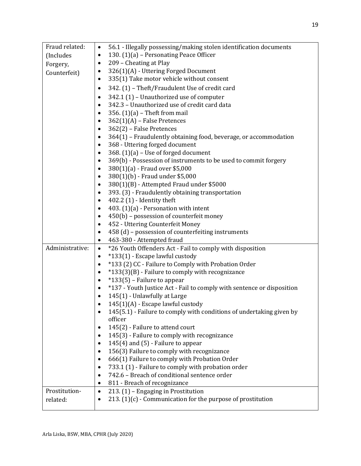| Fraud related:  | 56.1 - Illegally possessing/making stolen identification documents<br>$\bullet$ |
|-----------------|---------------------------------------------------------------------------------|
|                 | 130. $(1)(a)$ – Personating Peace Officer<br>$\bullet$                          |
| (Includes       |                                                                                 |
| Forgery,        | 209 - Cheating at Play<br>٠                                                     |
| Counterfeit)    | 326(1)(A) - Uttering Forged Document<br>٠                                       |
|                 | 335(1) Take motor vehicle without consent<br>٠                                  |
|                 | 342. (1) - Theft/Fraudulent Use of credit card<br>$\bullet$                     |
|                 | 342.1 (1) - Unauthorized use of computer<br>$\bullet$                           |
|                 | 342.3 - Unauthorized use of credit card data                                    |
|                 | 356. $(1)(a)$ – Theft from mail                                                 |
|                 | $362(1)(A)$ – False Pretences<br>٠                                              |
|                 | 362(2) - False Pretences                                                        |
|                 | 364(1) - Fraudulently obtaining food, beverage, or accommodation                |
|                 | 368 - Uttering forged document                                                  |
|                 | 368. $(1)(a)$ – Use of forged document                                          |
|                 | 369(b) - Possession of instruments to be used to commit forgery                 |
|                 | 380(1)(a) - Fraud over \$5,000                                                  |
|                 | 380(1)(b) - Fraud under \$5,000                                                 |
|                 | 380(1)(B) - Attempted Fraud under \$5000<br>٠                                   |
|                 | 393. (3) - Fraudulently obtaining transportation<br>$\bullet$                   |
|                 | 402.2 (1) - Identity theft                                                      |
|                 | 403. $(1)(a)$ - Personation with intent                                         |
|                 | 450(b) - possession of counterfeit money<br>٠                                   |
|                 | 452 - Uttering Counterfeit Money<br>٠                                           |
|                 |                                                                                 |
|                 |                                                                                 |
|                 | 458 (d) - possession of counterfeiting instruments                              |
|                 | 463-380 - Attempted fraud                                                       |
| Administrative: | *26 Youth Offenders Act - Fail to comply with disposition<br>$\bullet$          |
|                 | *133(1) - Escape lawful custody<br>٠                                            |
|                 | *133 (2) CC - Failure to Comply with Probation Order<br>$\bullet$               |
|                 | *133(3)(B) - Failure to comply with recognizance                                |
|                 | *133(5) – Failure to appear<br>$\bullet$                                        |
|                 | *137 - Youth Justice Act - Fail to comply with sentence or disposition          |
|                 | 145(1) - Unlawfully at Large<br>٠                                               |
|                 | 145(1)(A) - Escape lawful custody                                               |
|                 | 145(5.1) - Failure to comply with conditions of undertaking given by            |
|                 | officer                                                                         |
|                 | 145(2) - Failure to attend court                                                |
|                 | 145(3) - Failure to comply with recognizance                                    |
|                 | 145(4) and (5) - Failure to appear<br>٠                                         |
|                 | 156(3) Failure to comply with recognizance                                      |
|                 | 666(1) Failure to comply with Probation Order                                   |
|                 | 733.1 (1) - Failure to comply with probation order                              |
|                 | 742.6 - Breach of conditional sentence order<br>$\bullet$                       |
|                 | 811 - Breach of recognizance                                                    |
| Prostitution-   | 213. (1) - Engaging in Prostitution<br>$\bullet$                                |
| related:        | 213. $(1)(c)$ - Communication for the purpose of prostitution                   |